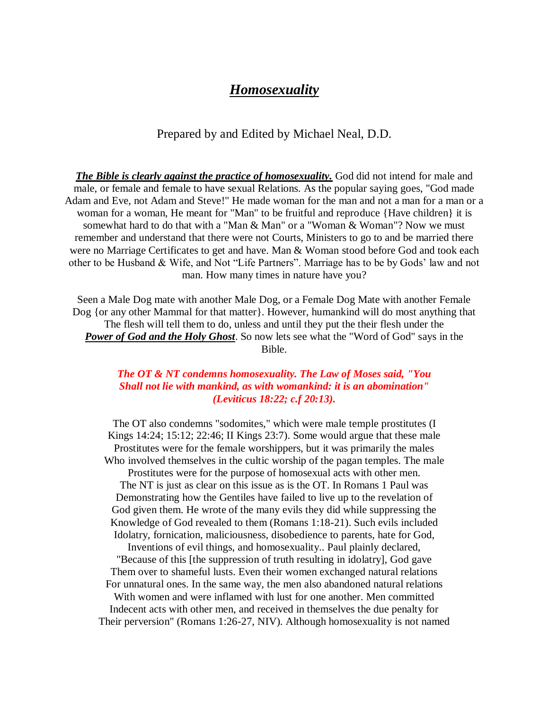## *Homosexuality*

## Prepared by and Edited by Michael Neal, D.D.

*The Bible is clearly against the practice of homosexuality.* God did not intend for male and male, or female and female to have sexual Relations. As the popular saying goes, "God made Adam and Eve, not Adam and Steve!" He made woman for the man and not a man for a man or a woman for a woman, He meant for "Man" to be fruitful and reproduce {Have children} it is somewhat hard to do that with a "Man & Man" or a "Woman & Woman"? Now we must remember and understand that there were not Courts, Ministers to go to and be married there were no Marriage Certificates to get and have. Man & Woman stood before God and took each other to be Husband & Wife, and Not "Life Partners". Marriage has to be by Gods' law and not man. How many times in nature have you?

Seen a Male Dog mate with another Male Dog, or a Female Dog Mate with another Female Dog {or any other Mammal for that matter}. However, humankind will do most anything that The flesh will tell them to do, unless and until they put the their flesh under the *Power of God and the Holy Ghost*. So now lets see what the "Word of God" says in the Bible.

## *The OT & NT condemns homosexuality. The Law of Moses said, "You Shall not lie with mankind, as with womankind: it is an abomination" (Leviticus 18:22; c.f 20:13).*

The OT also condemns "sodomites," which were male temple prostitutes (I Kings 14:24; 15:12; 22:46; II Kings 23:7). Some would argue that these male Prostitutes were for the female worshippers, but it was primarily the males Who involved themselves in the cultic worship of the pagan temples. The male Prostitutes were for the purpose of homosexual acts with other men. The NT is just as clear on this issue as is the OT. In Romans 1 Paul was Demonstrating how the Gentiles have failed to live up to the revelation of God given them. He wrote of the many evils they did while suppressing the Knowledge of God revealed to them (Romans 1:18-21). Such evils included Idolatry, fornication, maliciousness, disobedience to parents, hate for God, Inventions of evil things, and homosexuality.. Paul plainly declared, "Because of this [the suppression of truth resulting in idolatry], God gave Them over to shameful lusts. Even their women exchanged natural relations For unnatural ones. In the same way, the men also abandoned natural relations With women and were inflamed with lust for one another. Men committed Indecent acts with other men, and received in themselves the due penalty for Their perversion" (Romans 1:26-27, NIV). Although homosexuality is not named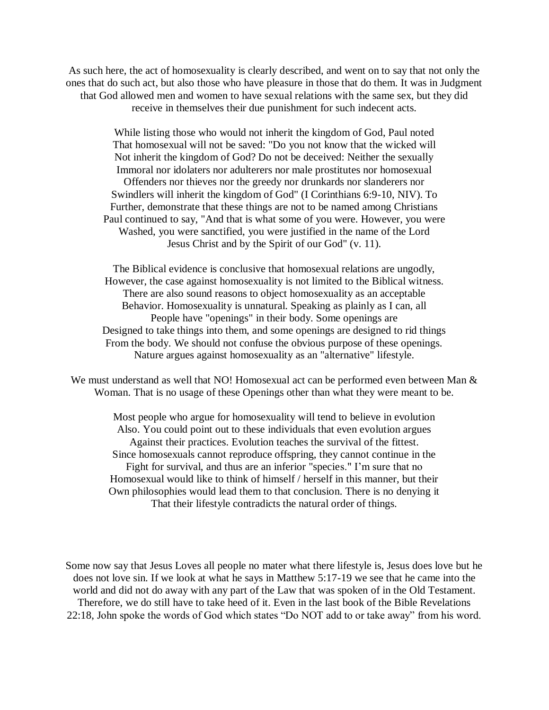As such here, the act of homosexuality is clearly described, and went on to say that not only the ones that do such act, but also those who have pleasure in those that do them. It was in Judgment that God allowed men and women to have sexual relations with the same sex, but they did receive in themselves their due punishment for such indecent acts.

While listing those who would not inherit the kingdom of God, Paul noted That homosexual will not be saved: "Do you not know that the wicked will Not inherit the kingdom of God? Do not be deceived: Neither the sexually Immoral nor idolaters nor adulterers nor male prostitutes nor homosexual Offenders nor thieves nor the greedy nor drunkards nor slanderers nor Swindlers will inherit the kingdom of God" (I Corinthians 6:9-10, NIV). To Further, demonstrate that these things are not to be named among Christians Paul continued to say, "And that is what some of you were. However, you were Washed, you were sanctified, you were justified in the name of the Lord Jesus Christ and by the Spirit of our God" (v. 11).

The Biblical evidence is conclusive that homosexual relations are ungodly, However, the case against homosexuality is not limited to the Biblical witness. There are also sound reasons to object homosexuality as an acceptable Behavior. Homosexuality is unnatural. Speaking as plainly as I can, all People have "openings" in their body. Some openings are Designed to take things into them, and some openings are designed to rid things From the body. We should not confuse the obvious purpose of these openings. Nature argues against homosexuality as an "alternative" lifestyle.

We must understand as well that NO! Homosexual act can be performed even between Man  $\&$ Woman. That is no usage of these Openings other than what they were meant to be.

Most people who argue for homosexuality will tend to believe in evolution Also. You could point out to these individuals that even evolution argues Against their practices. Evolution teaches the survival of the fittest. Since homosexuals cannot reproduce offspring, they cannot continue in the Fight for survival, and thus are an inferior "species." I'm sure that no Homosexual would like to think of himself / herself in this manner, but their Own philosophies would lead them to that conclusion. There is no denying it That their lifestyle contradicts the natural order of things.

Some now say that Jesus Loves all people no mater what there lifestyle is, Jesus does love but he does not love sin. If we look at what he says in Matthew 5:17-19 we see that he came into the world and did not do away with any part of the Law that was spoken of in the Old Testament. Therefore, we do still have to take heed of it. Even in the last book of the Bible Revelations 22:18, John spoke the words of God which states "Do NOT add to or take away" from his word.